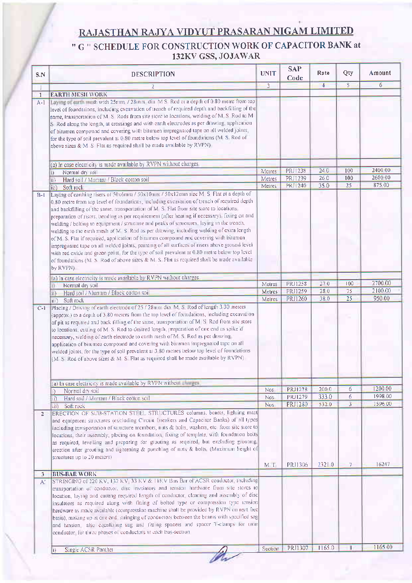## **RAJASTHAN RAJYA VIDYUT PRASARAN NIGAM LIMITED**

## " G " SCHEDULE FOR CONSTRUCTION WORK OF CAPACITOR BANK at 132KV GSS, JOJAWAR

| S.N            | <b>DESCRIPTION</b>                                                                                                                                                                                                                                                                                                                                                                                                                                                                                                                                                                                                                                                                                                                                                                                                                                                                                                                                                  | <b>UNIT</b>       | <b>SAP</b><br>Code        | Rate         | Qty            | Amount  |
|----------------|---------------------------------------------------------------------------------------------------------------------------------------------------------------------------------------------------------------------------------------------------------------------------------------------------------------------------------------------------------------------------------------------------------------------------------------------------------------------------------------------------------------------------------------------------------------------------------------------------------------------------------------------------------------------------------------------------------------------------------------------------------------------------------------------------------------------------------------------------------------------------------------------------------------------------------------------------------------------|-------------------|---------------------------|--------------|----------------|---------|
| $\perp$        | $\mathbf{2}$                                                                                                                                                                                                                                                                                                                                                                                                                                                                                                                                                                                                                                                                                                                                                                                                                                                                                                                                                        | $\overline{3}$    |                           | 4            | $\overline{5}$ | 6       |
| $\mathbf{1}$   | <b>EARTH MESH WORK</b>                                                                                                                                                                                                                                                                                                                                                                                                                                                                                                                                                                                                                                                                                                                                                                                                                                                                                                                                              |                   |                           |              |                |         |
| $A-I$          | Laying of earth mish with 25mm / 28mm dia M S. Rod at a depth of 0.80 metre from top<br>level of foundations, including excavation of trench of required depth and backfilling of the<br>same, transportation of M S. Rods from site store to locations, welding of M. S. Rod to M.<br>S Rod along the length, at crossings and with earth electrodes as per drawing, application<br>of bitumen compound and covering with bitumen impregnated tape on all welded joints,<br>for the type of soil prevalent at 0-80 metre below top level of foundations (M S. Rod of<br>above sizes & M S Flat as required shall be made available by RVPN)                                                                                                                                                                                                                                                                                                                        |                   |                           |              |                |         |
|                | (a) In case electricity is made available by RVPN without charges                                                                                                                                                                                                                                                                                                                                                                                                                                                                                                                                                                                                                                                                                                                                                                                                                                                                                                   |                   |                           |              |                |         |
|                | Normal dry soil<br>D.                                                                                                                                                                                                                                                                                                                                                                                                                                                                                                                                                                                                                                                                                                                                                                                                                                                                                                                                               | Metres            | <b>PRJ1238</b>            | 240          | 100            | 2400 00 |
|                | Hard soil / Murram / Black cotton soil<br>ii)                                                                                                                                                                                                                                                                                                                                                                                                                                                                                                                                                                                                                                                                                                                                                                                                                                                                                                                       | Metres            | PRJ1239                   | 260          | 100            | 2600 00 |
|                | liii)<br>Soft rock                                                                                                                                                                                                                                                                                                                                                                                                                                                                                                                                                                                                                                                                                                                                                                                                                                                                                                                                                  | Metres            | <b>PRJ1240</b>            | 350          | 25             | 875.00  |
| $B-1$          | Laying of earthing risers of 50x6mm / 50x10mm / 50x12mm size M S Flat at a depth of<br>0-80 metre from top level of foundations, including excavation of trench of required depth<br>and backfilling of the same, transportation of M. S. Flat from site store to locations.<br>preparation of risers, bending as per requirement (after heating if necessary) fixing on and<br>welding / bolting to equipment / structure and peaks of structures, laying in the trench,<br>welding to the earth mesh of M S. Rod as per drawing, including welding of extra length<br>of M S. Flat if required, application of bitumen compound and covering with bitumen<br>impregnated tape on all welded joints, painting of all surfaces of risers above ground level<br>with red oxide and green paint for the type of soil prevalent at 0.80 metre below top level<br>of foundations (M. S. Rod of above sizes & M. S. Flat as required shall be made available<br>by RVPN) |                   |                           |              |                |         |
|                | (a) In case electricity is made available by RVPN without charges                                                                                                                                                                                                                                                                                                                                                                                                                                                                                                                                                                                                                                                                                                                                                                                                                                                                                                   |                   |                           |              |                |         |
|                | Normal dry soil                                                                                                                                                                                                                                                                                                                                                                                                                                                                                                                                                                                                                                                                                                                                                                                                                                                                                                                                                     | Metres            | <b>PRJ1258</b>            | 270          | 100            | 2700 00 |
|                | Hard soil / Murram / Black cotton soil<br>ii)                                                                                                                                                                                                                                                                                                                                                                                                                                                                                                                                                                                                                                                                                                                                                                                                                                                                                                                       | Metres            | PRJ1259                   | 280          | 75             | 2100 00 |
|                | Soft rock<br>lui).<br>Placing / Driving of earth electrode of 25 / 28mm dia M S Rod of length 3 30 meters                                                                                                                                                                                                                                                                                                                                                                                                                                                                                                                                                                                                                                                                                                                                                                                                                                                           | Metres            | PRJ1260                   | 38.0         | 25             | 950.00  |
| $C-I$          | (approx) to a depth of 3 80 meters from the top level of foundations, including excavation<br>of pit as required and back filling of the same, transportation of M S. Rod from site store<br>to locations, cutting of M S. Rod to desired length, preparation of one end as spike if<br>necessary, welding of earth electrode to earth mesh of M S. Rod as per drawing<br>application of bitumen compound and covering with bitumen impregnated tape on all<br>welded joints, for the type of soil prevalent at 3-80 metres below top level of foundations<br>(M S Rod of above sizes & M S Flat as required shall be made available by RVPN)                                                                                                                                                                                                                                                                                                                       |                   |                           |              |                |         |
|                |                                                                                                                                                                                                                                                                                                                                                                                                                                                                                                                                                                                                                                                                                                                                                                                                                                                                                                                                                                     |                   |                           |              |                |         |
|                | (a) In case electricity is made available by RVPN without charges                                                                                                                                                                                                                                                                                                                                                                                                                                                                                                                                                                                                                                                                                                                                                                                                                                                                                                   |                   |                           |              |                | 1200 00 |
|                | Normal dry soil<br>li)                                                                                                                                                                                                                                                                                                                                                                                                                                                                                                                                                                                                                                                                                                                                                                                                                                                                                                                                              | <b>Nos</b>        | <b>PRJ1278</b>            | 2000<br>3330 | 6<br>6         | 1998 00 |
|                | Hard soil / Murram / Black cotton soil<br>liλ                                                                                                                                                                                                                                                                                                                                                                                                                                                                                                                                                                                                                                                                                                                                                                                                                                                                                                                       | Nos<br><b>Nos</b> | PRJ1279<br><b>PRJ1280</b> | 5320         | $\overline{3}$ | 1596.00 |
| $\overline{2}$ | iii) Soft rock<br>ERECTION OF SUB-STATION STEEL STRUCTURES columns, beams, lighting mast<br>and equipment structures (excluding Circuit Breakers and Capacitor Banks) of all types<br>including transportation of structure members, nuts & bolts, washers, etc. from site store to<br>locations their assembly, placing on foundation. fixing of template, with foundation bolts<br>as required, levelling and preparing for grouting as required but excluding grouting<br>erection after grouting and tightening & punching of nuts & bolts. (Maximum height of<br>structures up to 20 meters)                                                                                                                                                                                                                                                                                                                                                                   | M I               | PRJ1306                   | 23210        | $\overline{7}$ | 16247   |
| 3              | <b>BUS-BAR WORK</b>                                                                                                                                                                                                                                                                                                                                                                                                                                                                                                                                                                                                                                                                                                                                                                                                                                                                                                                                                 |                   |                           |              |                |         |
| A.             | STRINGING of 220 KV, 132 KV 33 KV & TIKV Bus Bar of ACSR conductor including<br>transportation of conductor, disc instilators and tension hardware from site stores to<br>location, laying and cutting required length of conductor, cleaning and assembly of disc<br>insulators as required along with fining of bolted type or compression type tension<br>hardware as made available (compression machine shall be provided by RVPN on rent free<br>basis), making up at one end stringing of conductors between the beams with specified sag<br>and tension also equalizing sag and litting spacers and spacer T-clamps for twin<br>conductor for three phases of conductors in each bus-section                                                                                                                                                                                                                                                                |                   |                           |              |                |         |
|                | Single ACSR Panther                                                                                                                                                                                                                                                                                                                                                                                                                                                                                                                                                                                                                                                                                                                                                                                                                                                                                                                                                 | Section           | PRJ1307                   | 11650        | $\mathbf{I}$   | 1165 00 |
|                | li)                                                                                                                                                                                                                                                                                                                                                                                                                                                                                                                                                                                                                                                                                                                                                                                                                                                                                                                                                                 |                   |                           |              |                |         |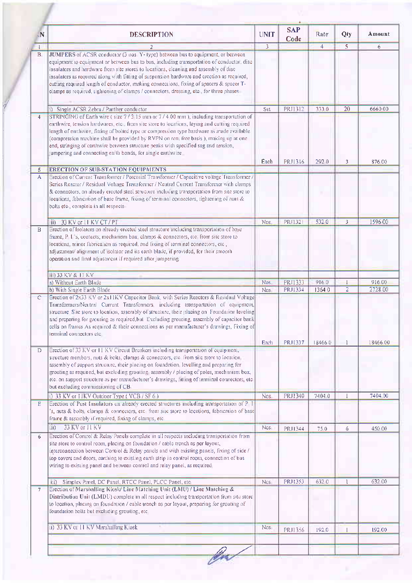| .N                | <b>DESCRIPTION</b>                                                                                                                                                                                                                                                                                                                                                                                                                                                                                                                                      | <b>UNIT</b>    | <b>SAP</b><br>Code | Rate   | Qty             | Amount   |
|-------------------|---------------------------------------------------------------------------------------------------------------------------------------------------------------------------------------------------------------------------------------------------------------------------------------------------------------------------------------------------------------------------------------------------------------------------------------------------------------------------------------------------------------------------------------------------------|----------------|--------------------|--------|-----------------|----------|
| $\mathbf{1}$      |                                                                                                                                                                                                                                                                                                                                                                                                                                                                                                                                                         | $\overline{3}$ |                    | 4      | 5.              | 6        |
| B                 | JUMPERS of ACSR conductor (3 nos Y-1ype) between bus to equipment, or between<br>equipment to equipment or between bus to bus, including transportation of conductor, disc<br>insulators and hardware from site stores to locations, cleaning and assembly of disc<br>insulators as required along with fitting of suspension hardware and crection as required,<br>cutting required length of conductor, making connections, fixing of spacers & spacer T-<br>clamps as required, rightening of clamps / connectors, dressing, etc., for three phases. |                |                    |        |                 |          |
|                   | i) Single ACSR Zebra / Panther conductor                                                                                                                                                                                                                                                                                                                                                                                                                                                                                                                | Set            | PRJ1312            | 3330   | $\overline{20}$ | 666000   |
| $\overline{4}$    | STRINGING of Earth wire (size 7/3 15 mm or 7/4 00 mm), including transportation of<br>earthwire, tension hardwares, etc., from site store to locations, laying and cutting required<br>length of earthwne, fitting of bolted type or compression type hardware as made available<br>(compression machine shall be provided by RVPN on rent free basis ), making up at one-<br>end, stringing of canhwire between structure peaks with specified sag and tension,<br>jumpering and connecting earth bonds, for single earthwire                          | Each           | PRJ1316            | 2920   | 3               | 876 00   |
| 5                 | <b>ERECTION OF SUB-STATION EQUIPMENTS</b>                                                                                                                                                                                                                                                                                                                                                                                                                                                                                                               |                |                    |        |                 |          |
| A                 | Erection of Current Transformer / Potential Transformer / Capacitive voltage Transformer /<br>Series Reactor / Residual Voltage Transformer / Neutral Current Transformer with clamps<br>& connectors, on already erected steel structure including transportation from site store to<br>locations, fabrication of base frame, fixing of terminal connectors, tightening of nuts &<br>bolts etc., complete in all respects.                                                                                                                             |                |                    |        |                 |          |
|                   | 33 KV or 11 KV CT / PI<br>liii)                                                                                                                                                                                                                                                                                                                                                                                                                                                                                                                         | Nos.           | <b>PR11321</b>     | 5320   | 3               | 1596.00  |
| B                 | Erection of Isolators on already erected steel structure including transportation of base<br>frame, P. I. s, contacts, mechanism box, clamps & connectors, etc. from site store to<br>locations, minor fabrication as required, and fixing of terminal connectors, etc.,<br>adjustment/ alignment of isolator and its earth blade, if provided, for their smooth<br>operation and final adjustment if required after jumpering                                                                                                                          |                |                    |        |                 |          |
|                   | iii) 33 KV & 11 KV                                                                                                                                                                                                                                                                                                                                                                                                                                                                                                                                      |                |                    |        |                 |          |
|                   | a) Without Earth Blade                                                                                                                                                                                                                                                                                                                                                                                                                                                                                                                                  | Nos            | PR11333            | 9160   |                 | 91600    |
|                   | b) With Single Earth Blade                                                                                                                                                                                                                                                                                                                                                                                                                                                                                                                              | Nos            | PRJ1334            | 13640  | $\overline{2}$  | 2728 00  |
| $\mathsf{C}$      | Erection of 2x33 KV or 2x11KV Capacitor Bank, with Series Reactors & Residual Voltage<br>Transformers/Neutral Current Transformers, including transportation of equipment,<br>structure. Sue store to location, assembly of structure, their placing on Foundation leveling.<br>and preparing for grouting as required, but Excluding grouting, assembly of capacitor bank<br>cells on frames As required & their connections as per manufacturer's drawings, Fixing of<br>terminal connectors etc.                                                     |                |                    |        |                 |          |
|                   | Erection of 33 KV or H KV Circuit Breakers including transportation of equipment,                                                                                                                                                                                                                                                                                                                                                                                                                                                                       | Each           | PR11337            | 184660 |                 | 18466 00 |
| D                 | structure members, nuts & bolts, clamps & connectors, etc. from site store to location<br>assembly of support structure, their placing on foundation, levelling and preparing for<br>grouting as required, but excluding grouting assembly / placing of poles, mechanism box,<br>etc. on support structure as per manufacturer's drawings, fitting of terminal connectors, etc.<br>but excluding commissioning of CB.                                                                                                                                   |                |                    |        |                 |          |
|                   | i) 33 KV or HKV Outdoor Type (VCB / SF 6)                                                                                                                                                                                                                                                                                                                                                                                                                                                                                                               | Nos.           | PRJ1340            | 7404 0 |                 | 7404 00  |
| E                 | Erection of Post Insulators on already erected structures including transportation of P I<br>'s, nuts & bolts, clamps & connectors, etc. from site store to locations, fabrication of base<br>frame & assembly if required, fixing of clamps, etc.                                                                                                                                                                                                                                                                                                      |                |                    |        |                 |          |
|                   | 33 KV or H KV<br>hii)                                                                                                                                                                                                                                                                                                                                                                                                                                                                                                                                   | Nos            | PRJ1344            | 750    | 6               | 450 00   |
| 6                 | Erection of Control & Relay Panels complete in all respects including transportation from<br>site store to control room, placing on foundation / cable trench as per layout,<br>interconnection between Control & Relay panels and with existing panels, fixing of side /<br>top covers and doors, earthing to existing earth strip in control room, connection of bus-<br>wiring to existing panel and between control and relay panel, as required                                                                                                    |                |                    |        |                 |          |
|                   | Simplex Panel, DC Panel, RTCC Panel, PLCC Panel, etc.<br>iii)                                                                                                                                                                                                                                                                                                                                                                                                                                                                                           | Nos            | PRJ1353            | 6320   |                 | 632 00   |
| $\overline{\tau}$ | Erection of Marshalling Kiosk/ Line Matching Unit (LMU) / Line Matching &<br>Distribution Unit (LMDU) complete in all respect including transportation from site store                                                                                                                                                                                                                                                                                                                                                                                  |                |                    |        |                 |          |
|                   | to location, placing on foundation / cable trench as per layout, preparing for grouting of<br>foundation bolts but excluding grouting, etc.                                                                                                                                                                                                                                                                                                                                                                                                             |                |                    |        |                 |          |